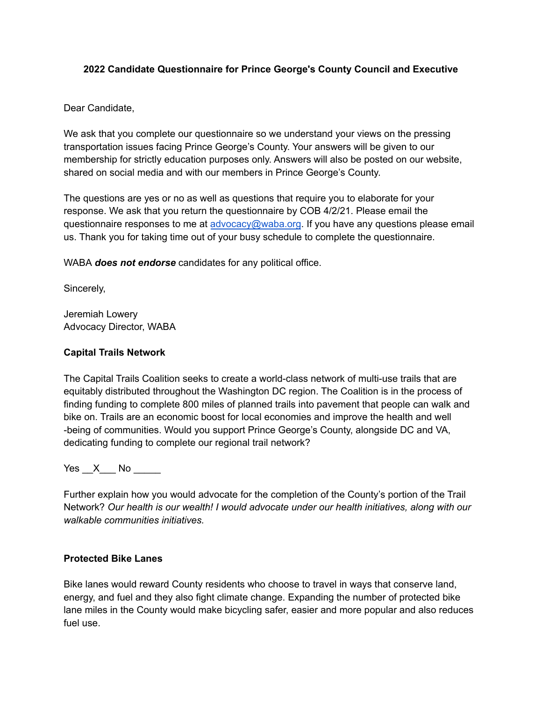# **2022 Candidate Questionnaire for Prince George's County Council and Executive**

Dear Candidate,

We ask that you complete our questionnaire so we understand your views on the pressing transportation issues facing Prince George's County. Your answers will be given to our membership for strictly education purposes only. Answers will also be posted on our website, shared on social media and with our members in Prince George's County.

The questions are yes or no as well as questions that require you to elaborate for your response. We ask that you return the questionnaire by COB 4/2/21. Please email the questionnaire responses to me at [advocacy@waba.org](mailto:advocacy@waba.org). If you have any questions please email us. Thank you for taking time out of your busy schedule to complete the questionnaire.

WABA *does not endorse* candidates for any political office.

Sincerely,

Jeremiah Lowery Advocacy Director, WABA

# **Capital Trails Network**

The Capital Trails Coalition seeks to create a world-class network of multi-use trails that are equitably distributed throughout the Washington DC region. The Coalition is in the process of finding funding to complete 800 miles of planned trails into pavement that people can walk and bike on. Trails are an economic boost for local economies and improve the health and well -being of communities. Would you support Prince George's County, alongside DC and VA, dedicating funding to complete our regional trail network?

Yes  $X$  No  $\blacksquare$ 

Further explain how you would advocate for the completion of the County's portion of the Trail Network? *Our health is our wealth! I would advocate under our health initiatives, along with our walkable communities initiatives.*

#### **Protected Bike Lanes**

Bike lanes would reward County residents who choose to travel in ways that conserve land, energy, and fuel and they also fight climate change. Expanding the number of protected bike lane miles in the County would make bicycling safer, easier and more popular and also reduces fuel use.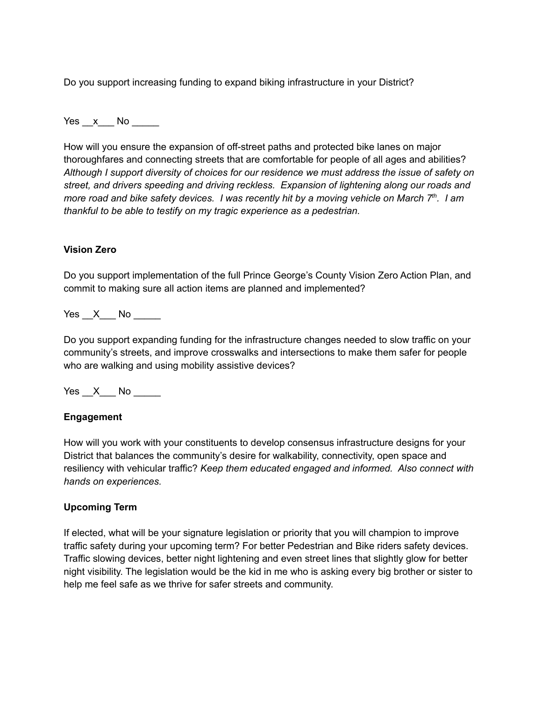Do you support increasing funding to expand biking infrastructure in your District?

Yes x No  $\overline{a}$ 

How will you ensure the expansion of off-street paths and protected bike lanes on major thoroughfares and connecting streets that are comfortable for people of all ages and abilities? *Although I support diversity of choices for our residence we must address the issue of safety on street, and drivers speeding and driving reckless. Expansion of lightening along our roads and more road and bike safety devices. I was recently hit by a moving vehicle on March 7th. I am thankful to be able to testify on my tragic experience as a pedestrian.*

## **Vision Zero**

Do you support implementation of the full Prince George's County Vision Zero Action Plan, and commit to making sure all action items are planned and implemented?

Yes X No

Do you support expanding funding for the infrastructure changes needed to slow traffic on your community's streets, and improve crosswalks and intersections to make them safer for people who are walking and using mobility assistive devices?

 $Yes \_\ X \_\$  No  $\_\_\_\$ 

#### **Engagement**

How will you work with your constituents to develop consensus infrastructure designs for your District that balances the community's desire for walkability, connectivity, open space and resiliency with vehicular traffic? *Keep them educated engaged and informed. Also connect with hands on experiences.*

#### **Upcoming Term**

If elected, what will be your signature legislation or priority that you will champion to improve traffic safety during your upcoming term? For better Pedestrian and Bike riders safety devices. Traffic slowing devices, better night lightening and even street lines that slightly glow for better night visibility. The legislation would be the kid in me who is asking every big brother or sister to help me feel safe as we thrive for safer streets and community.